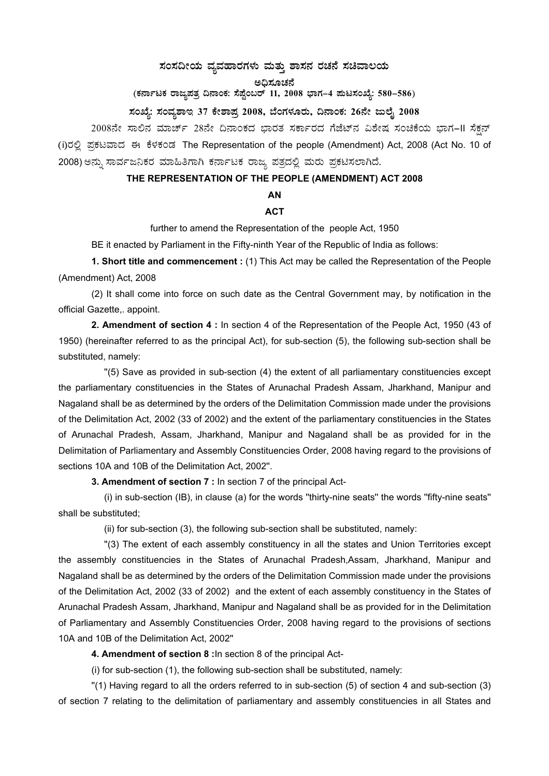### $\pi$ ಹಂಸದೀಯ ವ್ಯವಹಾರಗಳು ಮತ್ತು ಶಾಸನ ರಚನೆ ಸಚಿವಾಲಯ

ಅದಿಸೂಚನೆ

(ಕರ್ನಾಟಕ ರಾಜ್ಯಪತ್ರ ದಿನಾಂಕ: ಸೆಪ್ಟೆಂಬರ್ 11, 2008 ಭಾಗ–4 **ಮಟಸಂಖ್ಯೆ: 580–586**)

ಸಂಖ್ಯೆ: ಸಂವ್ಯಶಾಇ 37 ಕೇಶಾಪ್ರ 2008, ಬೆಂಗಳೂರು, ದಿನಾಂಕ: 26ನೇ ಜುಲೈ 2008

2008ನೇ ಸಾಲಿನ ಮಾರ್ಚ್ 28ನೇ ದಿನಾಂಕದ ಭಾರತ ಸರ್ಕಾರದ ಗೆಜೆಟ್ನ ವಿಶೇಷ ಸಂಚಿಕೆಯ ಭಾಗ–II ಸೆಕ್ಷನ್ (i)ರಲ್ಲಿ ಪ್ರಕಟವಾದ ಈ ಕೆಳಕಂಡ The Representation of the people (Amendment) Act, 2008 (Act No. 10 of 2008) ಅನ್ನು ಸಾರ್ವಜನಿಕರ ಮಾಹಿತಿಗಾಗಿ ಕರ್ನಾಟಕ ರಾಜ್ಯ ಪತ್ರದಲ್ಲಿ ಮರು ಪ್ರಕಟಿಸಲಾಗಿದೆ.

#### **THE REPRESENTATION OF THE PEOPLE (AMENDMENT) ACT 2008**

## **AN**

#### **ACT**

further to amend the Representation of the people Act, 1950

BE it enacted by Parliament in the Fifty-ninth Year of the Republic of India as follows:

**1. Short title and commencement :** (1) This Act may be called the Representation of the People (Amendment) Act, 2008

 (2) It shall come into force on such date as the Central Government may, by notification in the official Gazette,. appoint.

**2. Amendment of section 4 :** In section 4 of the Representation of the People Act, 1950 (43 of 1950) (hereinafter referred to as the principal Act), for sub-section (5), the following sub-section shall be substituted, namely:

 ''(5) Save as provided in sub-section (4) the extent of all parliamentary constituencies except the parliamentary constituencies in the States of Arunachal Pradesh Assam, Jharkhand, Manipur and Nagaland shall be as determined by the orders of the Delimitation Commission made under the provisions of the Delimitation Act, 2002 (33 of 2002) and the extent of the parliamentary constituencies in the States of Arunachal Pradesh, Assam, Jharkhand, Manipur and Nagaland shall be as provided for in the Delimitation of Parliamentary and Assembly Constituencies Order, 2008 having regard to the provisions of sections 10A and 10B of the Delimitation Act, 2002''.

**3. Amendment of section 7 :** In section 7 of the principal Act-

 (i) in sub-section (IB), in clause (a) for the words ''thirty-nine seats'' the words ''fifty-nine seats'' shall be substituted;

(ii) for sub-section (3), the following sub-section shall be substituted, namely:

 ''(3) The extent of each assembly constituency in all the states and Union Territories except the assembly constituencies in the States of Arunachal Pradesh,Assam, Jharkhand, Manipur and Nagaland shall be as determined by the orders of the Delimitation Commission made under the provisions of the Delimitation Act, 2002 (33 of 2002) and the extent of each assembly constituency in the States of Arunachal Pradesh Assam, Jharkhand, Manipur and Nagaland shall be as provided for in the Delimitation of Parliamentary and Assembly Constituencies Order, 2008 having regard to the provisions of sections 10A and 10B of the Delimitation Act, 2002''

**4. Amendment of section 8 :**In section 8 of the principal Act-

(i) for sub-section (1), the following sub-section shall be substituted, namely:

 ''(1) Having regard to all the orders referred to in sub-section (5) of section 4 and sub-section (3) of section 7 relating to the delimitation of parliamentary and assembly constituencies in all States and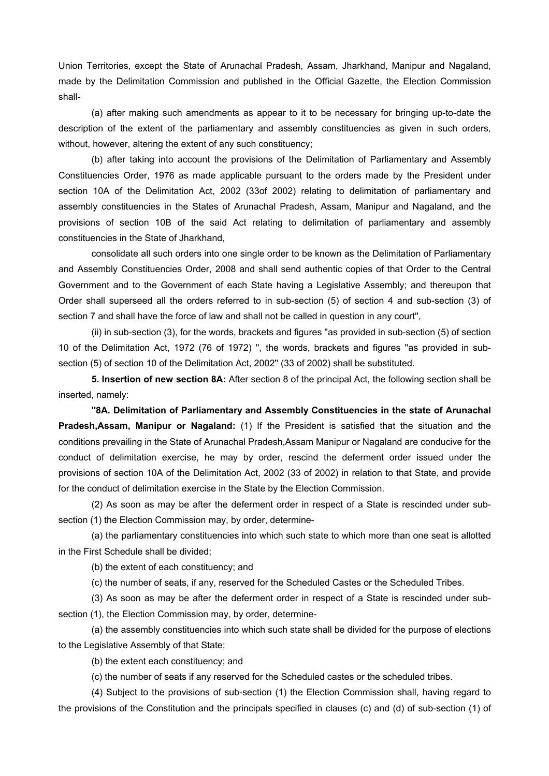Union Territories, except the State of Arunachal Pradesh, Assam, Jharkhand, Manipur and Nagaland, made by the Delimitation Commission and published in the Official Gazette, the Election Commission shall-

 (a) after making such amendments as appear to it to be necessary for bringing up-to-date the description of the extent of the parliamentary and assembly constituencies as given in such orders, without, however, altering the extent of any such constituency;

 (b) after taking into account the provisions of the Delimitation of Parliamentary and Assembly Constituencies Order, 1976 as made applicable pursuant to the orders made by the President under section 10A of the Delimitation Act, 2002 (33of 2002) relating to delimitation of parliamentary and assembly constituencies in the States of Arunachal Pradesh, Assam, Manipur and Nagaland, and the provisions of section 10B of the said Act relating to delimitation of parliamentary and assembly constituencies in the State of Jharkhand,

 consolidate all such orders into one single order to be known as the Delimitation of Parliamentary and Assembly Constituencies Order, 2008 and shall send authentic copies of that Order to the Central Government and to the Government of each State having a Legislative Assembly; and thereupon that Order shall superseed all the orders referred to in sub-section (5) of section 4 and sub-section (3) of section 7 and shall have the force of law and shall not be called in question in any court'',

 (ii) in sub-section (3), for the words, brackets and figures ''as provided in sub-section (5) of section 10 of the Delimitation Act, 1972 (76 of 1972) '', the words, brackets and figures ''as provided in subsection (5) of section 10 of the Delimitation Act, 2002" (33 of 2002) shall be substituted.

**5. Insertion of new section 8A:** After section 8 of the principal Act, the following section shall be inserted, namely:

**''8A. Delimitation of Parliamentary and Assembly Constituencies in the state of Arunachal Pradesh,Assam, Manipur or Nagaland:** (1) If the President is satisfied that the situation and the conditions prevailing in the State of Arunachal Pradesh,Assam Manipur or Nagaland are conducive for the conduct of delimitation exercise, he may by order, rescind the deferment order issued under the provisions of section 10A of the Delimitation Act, 2002 (33 of 2002) in relation to that State, and provide for the conduct of delimitation exercise in the State by the Election Commission.

 (2) As soon as may be after the deferment order in respect of a State is rescinded under subsection (1) the Election Commission may, by order, determine-

 (a) the parliamentary constituencies into which such state to which more than one seat is allotted in the First Schedule shall be divided;

(b) the extent of each constituency; and

(c) the number of seats, if any, reserved for the Scheduled Castes or the Scheduled Tribes.

 (3) As soon as may be after the deferment order in respect of a State is rescinded under subsection (1), the Election Commission may, by order, determine-

 (a) the assembly constituencies into which such state shall be divided for the purpose of elections to the Legislative Assembly of that State;

(b) the extent each constituency; and

(c) the number of seats if any reserved for the Scheduled castes or the scheduled tribes.

 (4) Subject to the provisions of sub-section (1) the Election Commission shall, having regard to the provisions of the Constitution and the principals specified in clauses (c) and (d) of sub-section (1) of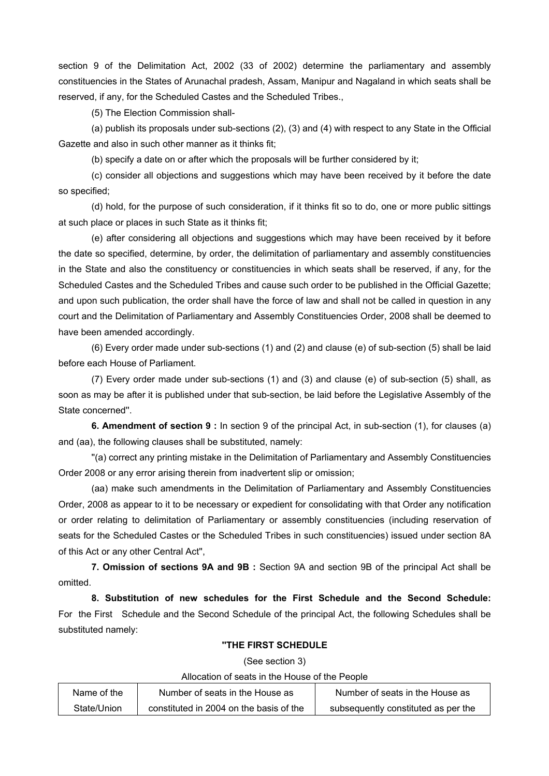section 9 of the Delimitation Act, 2002 (33 of 2002) determine the parliamentary and assembly constituencies in the States of Arunachal pradesh, Assam, Manipur and Nagaland in which seats shall be reserved, if any, for the Scheduled Castes and the Scheduled Tribes.,

(5) The Election Commission shall-

 (a) publish its proposals under sub-sections (2), (3) and (4) with respect to any State in the Official Gazette and also in such other manner as it thinks fit;

(b) specify a date on or after which the proposals will be further considered by it;

 (c) consider all objections and suggestions which may have been received by it before the date so specified;

 (d) hold, for the purpose of such consideration, if it thinks fit so to do, one or more public sittings at such place or places in such State as it thinks fit;

 (e) after considering all objections and suggestions which may have been received by it before the date so specified, determine, by order, the delimitation of parliamentary and assembly constituencies in the State and also the constituency or constituencies in which seats shall be reserved, if any, for the Scheduled Castes and the Scheduled Tribes and cause such order to be published in the Official Gazette; and upon such publication, the order shall have the force of law and shall not be called in question in any court and the Delimitation of Parliamentary and Assembly Constituencies Order, 2008 shall be deemed to have been amended accordingly.

 (6) Every order made under sub-sections (1) and (2) and clause (e) of sub-section (5) shall be laid before each House of Parliament.

 (7) Every order made under sub-sections (1) and (3) and clause (e) of sub-section (5) shall, as soon as may be after it is published under that sub-section, be laid before the Legislative Assembly of the State concerned''.

**6. Amendment of section 9 :** In section 9 of the principal Act, in sub-section (1), for clauses (a) and (aa), the following clauses shall be substituted, namely:

 ''(a) correct any printing mistake in the Delimitation of Parliamentary and Assembly Constituencies Order 2008 or any error arising therein from inadvertent slip or omission;

 (aa) make such amendments in the Delimitation of Parliamentary and Assembly Constituencies Order, 2008 as appear to it to be necessary or expedient for consolidating with that Order any notification or order relating to delimitation of Parliamentary or assembly constituencies (including reservation of seats for the Scheduled Castes or the Scheduled Tribes in such constituencies) issued under section 8A of this Act or any other Central Act'',

**7. Omission of sections 9A and 9B :** Section 9A and section 9B of the principal Act shall be omitted.

**8. Substitution of new schedules for the First Schedule and the Second Schedule:** For the First Schedule and the Second Schedule of the principal Act, the following Schedules shall be substituted namely:

#### **''THE FIRST SCHEDULE**

(See section 3)

Allocation of seats in the House of the People

| Name of the | Number of seats in the House as         | Number of seats in the House as     |
|-------------|-----------------------------------------|-------------------------------------|
| State/Union | constituted in 2004 on the basis of the | subsequently constituted as per the |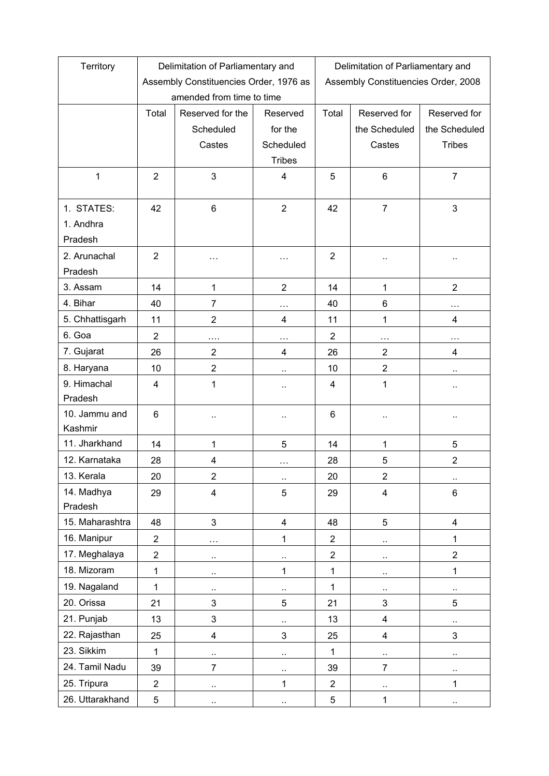| Territory       | Delimitation of Parliamentary and      |                         |                      | Delimitation of Parliamentary and   |                      |                           |  |
|-----------------|----------------------------------------|-------------------------|----------------------|-------------------------------------|----------------------|---------------------------|--|
|                 | Assembly Constituencies Order, 1976 as |                         |                      | Assembly Constituencies Order, 2008 |                      |                           |  |
|                 | amended from time to time              |                         |                      |                                     |                      |                           |  |
|                 | Total                                  | Reserved for the        | Reserved             | Total                               | Reserved for         | Reserved for              |  |
|                 |                                        | Scheduled               | for the              |                                     | the Scheduled        | the Scheduled             |  |
|                 |                                        | Castes                  | Scheduled            |                                     | Castes               | <b>Tribes</b>             |  |
|                 |                                        |                         | <b>Tribes</b>        |                                     |                      |                           |  |
| $\mathbf{1}$    | $\overline{2}$                         | 3                       | 4                    | 5                                   | 6                    | $\overline{7}$            |  |
| 1. STATES:      | 42                                     | 6                       | $\overline{2}$       | 42                                  | $\overline{7}$       | 3                         |  |
| 1. Andhra       |                                        |                         |                      |                                     |                      |                           |  |
| Pradesh         |                                        |                         |                      |                                     |                      |                           |  |
| 2. Arunachal    | $\overline{2}$                         | .                       | .                    | $\overline{2}$                      | $\ddot{\phantom{0}}$ |                           |  |
| Pradesh         |                                        |                         |                      |                                     |                      |                           |  |
| 3. Assam        | 14                                     | 1                       | $\overline{2}$       | 14                                  | 1                    | $\overline{2}$            |  |
| 4. Bihar        | 40                                     | $\overline{7}$          | $\ldots$             | 40                                  | 6                    | $\ddotsc$                 |  |
| 5. Chhattisgarh | 11                                     | $\overline{2}$          | 4                    | 11                                  | 1                    | 4                         |  |
| 6. Goa          | $\overline{2}$                         | $\cdots$                | $\cdots$             | $\overline{2}$                      | .                    | $\cdots$                  |  |
| 7. Gujarat      | 26                                     | $\overline{2}$          | $\overline{4}$       | 26                                  | $\overline{2}$       | 4                         |  |
| 8. Haryana      | 10                                     | $\overline{2}$          |                      | 10                                  | $\overline{2}$       | $\ddotsc$                 |  |
| 9. Himachal     | 4                                      | 1                       |                      | 4                                   | 1                    | $\ddotsc$                 |  |
| Pradesh         |                                        |                         |                      |                                     |                      |                           |  |
| 10. Jammu and   | 6                                      |                         | ٠.                   | 6                                   | $\ddot{\phantom{0}}$ | $\cdot$ .                 |  |
| Kashmir         |                                        |                         |                      |                                     |                      |                           |  |
| 11. Jharkhand   | 14                                     | $\mathbf{1}$            | 5                    | 14                                  | 1                    | 5                         |  |
| 12. Karnataka   | 28                                     | 4                       | $\cdots$             | 28                                  | 5                    | $\overline{2}$            |  |
| 13. Kerala      | 20                                     | $\overline{\mathbf{c}}$ | ٠.                   | 20                                  | $\overline{c}$       |                           |  |
| 14. Madhya      | 29                                     | $\overline{\mathbf{4}}$ | $\overline{5}$       | 29                                  | 4                    | $\,6\,$                   |  |
| Pradesh         |                                        |                         |                      |                                     |                      |                           |  |
| 15. Maharashtra | 48                                     | 3                       | $\overline{4}$       | 48                                  | 5                    | $\overline{\mathbf{4}}$   |  |
| 16. Manipur     | $\overline{2}$                         | $\cdots$                | 1                    | $\overline{2}$                      | $\ddot{\phantom{0}}$ | $\mathbf{1}$              |  |
| 17. Meghalaya   | $\overline{2}$                         | $\sim$                  | ٠.                   | $\overline{2}$                      | $\ddotsc$            | $\overline{2}$            |  |
| 18. Mizoram     | $\mathbf 1$                            | $\sim$                  | 1                    | 1                                   | $\ddot{\phantom{0}}$ | $\mathbf{1}$              |  |
| 19. Nagaland    | 1                                      | .,                      | ٠.                   | 1                                   | .,                   | $\ddot{\phantom{0}}$      |  |
| 20. Orissa      | 21                                     | 3                       | 5                    | 21                                  | 3                    | 5                         |  |
| 21. Punjab      | 13                                     | 3                       |                      | 13                                  | 4                    | $\ddotsc$                 |  |
| 22. Rajasthan   | 25                                     | 4                       | 3                    | 25                                  | 4                    | $\ensuremath{\mathsf{3}}$ |  |
| 23. Sikkim      | 1                                      | $\ddot{\phantom{0}}$    |                      | 1                                   | $\ddotsc$            | $\ddotsc$                 |  |
| 24. Tamil Nadu  | 39                                     | $\overline{7}$          | ٠.                   | 39                                  | $\overline{7}$       | $\ldots$                  |  |
| 25. Tripura     | $\overline{2}$                         | $\ddot{\phantom{1}}$    | 1                    | $\overline{2}$                      | $\ddot{\phantom{1}}$ | 1                         |  |
| 26. Uttarakhand | 5                                      | $\cdot$ .               | $\ddot{\phantom{1}}$ | 5                                   | $\mathbf 1$          | $\ddot{\phantom{1}}$      |  |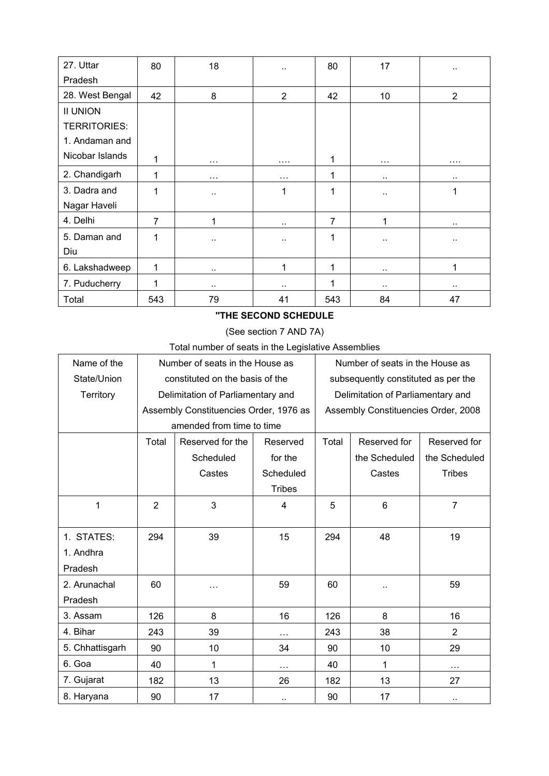| 27. Uttar       | 80             | 18       | ٠.                   | 80  | 17        | $\ddot{\phantom{0}}$ |
|-----------------|----------------|----------|----------------------|-----|-----------|----------------------|
| Pradesh         |                |          |                      |     |           |                      |
| 28. West Bengal | 42             | 8        | $\overline{2}$       | 42  | 10        | $\overline{2}$       |
| <b>II UNION</b> |                |          |                      |     |           |                      |
| TERRITORIES:    |                |          |                      |     |           |                      |
| 1. Andaman and  |                |          |                      |     |           |                      |
| Nicobar Islands | 1              | $\cdots$ | $\cdots$             | 1   | $\cdots$  | $\cdots$             |
| 2. Chandigarh   | 1              | $\cdots$ | $\cdots$             | 1   |           | $\ddot{\phantom{a}}$ |
| 3. Dadra and    | 1              |          | 1                    | 1   | $\cdot$ . | 1                    |
| Nagar Haveli    |                |          |                      |     |           |                      |
| 4. Delhi        | $\overline{7}$ | 1        | $\ddotsc$            | 7   | 1         | $\ddot{\phantom{a}}$ |
| 5. Daman and    | 1              | ٠.       | $\ddot{\phantom{a}}$ | 1   | $\cdot$ . | $\cdot$ .            |
| Diu             |                |          |                      |     |           |                      |
| 6. Lakshadweep  | 1              | $\sim$   | 1                    | 1   |           | 1                    |
| 7. Puducherry   | 1              |          | $\ddot{\phantom{1}}$ | 1   |           | $\cdot$ .            |
| Total           | 543            | 79       | 41                   | 543 | 84        | 47                   |

### **''THE SECOND SCHEDULE**

# (See section 7 AND 7A)

Total number of seats in the Legislative Assemblies

| Name of the     | Number of seats in the House as        |                  |                      | Number of seats in the House as     |                 |                |
|-----------------|----------------------------------------|------------------|----------------------|-------------------------------------|-----------------|----------------|
| State/Union     | constituted on the basis of the        |                  |                      | subsequently constituted as per the |                 |                |
| Territory       | Delimitation of Parliamentary and      |                  |                      | Delimitation of Parliamentary and   |                 |                |
|                 | Assembly Constituencies Order, 1976 as |                  |                      | Assembly Constituencies Order, 2008 |                 |                |
|                 | amended from time to time              |                  |                      |                                     |                 |                |
|                 | Total                                  | Reserved for the | Reserved             | Total                               | Reserved for    | Reserved for   |
|                 |                                        | Scheduled        | for the              |                                     | the Scheduled   | the Scheduled  |
|                 |                                        | Castes           | Scheduled            |                                     | Castes          | <b>Tribes</b>  |
|                 |                                        |                  | <b>Tribes</b>        |                                     |                 |                |
| 1               | $\overline{2}$                         | 3                | 4                    | 5                                   | $6\phantom{1}6$ | $\overline{7}$ |
|                 |                                        |                  |                      |                                     |                 |                |
| 1. STATES:      | 294                                    | 39               | 15                   | 294                                 | 48              | 19             |
| 1. Andhra       |                                        |                  |                      |                                     |                 |                |
| Pradesh         |                                        |                  |                      |                                     |                 |                |
| 2. Arunachal    | 60                                     | .                | 59                   | 60                                  | .,              | 59             |
| Pradesh         |                                        |                  |                      |                                     |                 |                |
| 3. Assam        | 126                                    | 8                | 16                   | 126                                 | 8               | 16             |
| 4. Bihar        | 243                                    | 39               | .                    | 243                                 | 38              | $\overline{2}$ |
| 5. Chhattisgarh | 90                                     | 10               | 34                   | 90                                  | 10              | 29             |
| 6. Goa          | 40                                     | 1                | $\cdots$             | 40                                  | 1               | $\cdots$       |
| 7. Gujarat      | 182                                    | 13               | 26                   | 182                                 | 13              | 27             |
| 8. Haryana      | 90                                     | 17               | $\ddot{\phantom{1}}$ | 90                                  | 17              | $\sim$         |